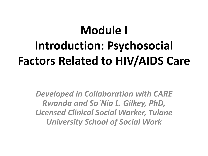# **Module I Introduction: Psychosocial Factors Related to HIV/AIDS Care**

*Developed in Collaboration with CARE Rwanda and So`Nia L. Gilkey, PhD, Licensed Clinical Social Worker, Tulane University School of Social Work*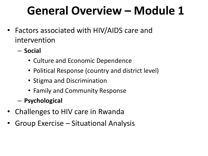# **General Overview – Module 1**

- Factors associated with HIV/AIDS care and intervention
	- **Social**
		- Culture and Economic Dependence
		- Political Response (country and district level)
		- Stigma and Discrimination
		- Family and Community Response
	- **Psychological**
- Challenges to HIV care in Rwanda
- Group Exercise Situational Analysis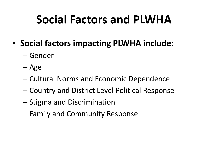## **Social Factors and PLWHA**

- **Social factors impacting PLWHA include:**
	- Gender
	- Age
	- Cultural Norms and Economic Dependence
	- Country and District Level Political Response
	- Stigma and Discrimination
	- Family and Community Response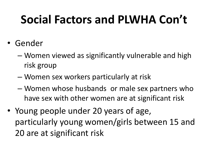- Gender
	- Women viewed as significantly vulnerable and high risk group
	- Women sex workers particularly at risk
	- Women whose husbands or male sex partners who have sex with other women are at significant risk
- Young people under 20 years of age, particularly young women/girls between 15 and 20 are at significant risk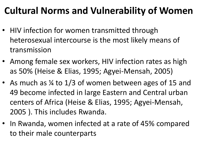### **Cultural Norms and Vulnerability of Women**

- HIV infection for women transmitted through heterosexual intercourse is the most likely means of transmission
- Among female sex workers, HIV infection rates as high as 50% (Heise & Elias, 1995; Agyei-Mensah, 2005)
- As much as ¼ to 1/3 of women between ages of 15 and 49 become infected in large Eastern and Central urban centers of Africa (Heise & Elias, 1995; Agyei-Mensah, 2005 ). This includes Rwanda.
- In Rwanda, women infected at a rate of 45% compared to their male counterparts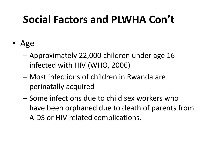- Age
	- Approximately 22,000 children under age 16 infected with HIV (WHO, 2006)
	- Most infections of children in Rwanda are perinatally acquired
	- Some infections due to child sex workers who have been orphaned due to death of parents from AIDS or HIV related complications.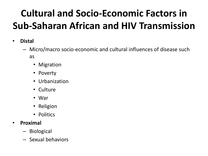### **Cultural and Socio-Economic Factors in Sub-Saharan African and HIV Transmission**

- **Distal**
	- Micro/macro socio-economic and cultural influences of disease such as
		- Migration
		- Poverty
		- Urbanization
		- Culture
		- War
		- Religion
		- Politics
- **Proximal**
	- Biological
	- Sexual behaviors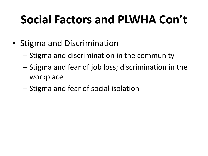- Stigma and Discrimination
	- Stigma and discrimination in the community
	- Stigma and fear of job loss; discrimination in the workplace
	- Stigma and fear of social isolation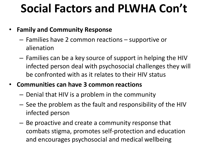#### • **Family and Community Response**

- Families have 2 common reactions supportive or alienation
- Families can be a key source of support in helping the HIV infected person deal with psychosocial challenges they will be confronted with as it relates to their HIV status

#### • **Communities can have 3 common reactions**

- Denial that HIV is a problem in the community
- See the problem as the fault and responsibility of the HIV infected person
- Be proactive and create a community response that combats stigma, promotes self-protection and education and encourages psychosocial and medical wellbeing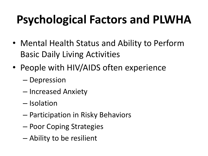- Mental Health Status and Ability to Perform Basic Daily Living Activities
- People with HIV/AIDS often experience
	- Depression
	- Increased Anxiety
	- Isolation
	- Participation in Risky Behaviors
	- Poor Coping Strategies
	- Ability to be resilient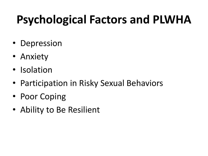- Depression
- Anxiety
- Isolation
- Participation in Risky Sexual Behaviors
- Poor Coping
- Ability to Be Resilient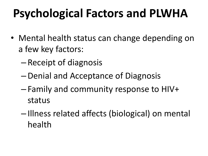- Mental health status can change depending on a few key factors:
	- Receipt of diagnosis
	- –Denial and Acceptance of Diagnosis
	- Family and community response to HIV+ status
	- Illness related affects (biological) on mental health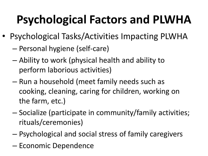- Psychological Tasks/Activities Impacting PLWHA
	- Personal hygiene (self-care)
	- Ability to work (physical health and ability to perform laborious activities)
	- Run a household (meet family needs such as cooking, cleaning, caring for children, working on the farm, etc.)
	- Socialize (participate in community/family activities; rituals/ceremonies)
	- Psychological and social stress of family caregivers
	- Economic Dependence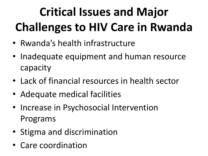# **Critical Issues and Major Challenges to HIV Care in Rwanda**

- Rwanda's health infrastructure
- Inadequate equipment and human resource capacity
- Lack of financial resources in health sector
- Adequate medical facilities
- Increase in Psychosocial Intervention Programs
- Stigma and discrimination
- Care coordination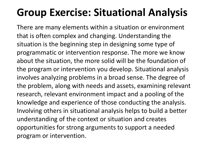### **Group Exercise: Situational Analysis**

There are many elements within a situation or environment that is often complex and changing. Understanding the situation is the beginning step in designing some type of programmatic or intervention response. The more we know about the situation, the more solid will be the foundation of the program or intervention you develop. Situational analysis involves analyzing problems in a broad sense. The degree of the problem, along with needs and assets, examining relevant research, relevant environment impact and a pooling of the knowledge and experience of those conducting the analysis. Involving others in situational analysis helps to build a better understanding of the context or situation and creates opportunities for strong arguments to support a needed program or intervention.